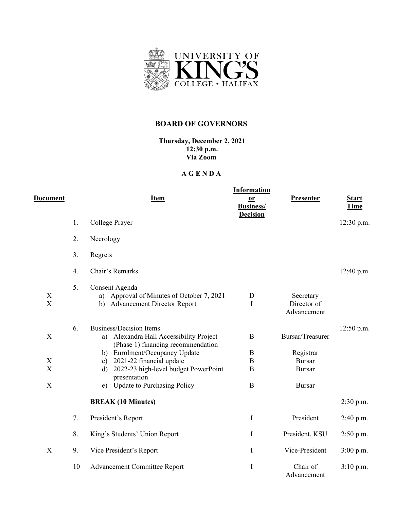

## **BOARD OF GOVERNORS**

**Thursday, December 2, 2021 12:30 p.m. Via Zoom**

## **A G E N D A**

|                                |    |                                                                                       | <b>Information</b>                  |                                         |              |
|--------------------------------|----|---------------------------------------------------------------------------------------|-------------------------------------|-----------------------------------------|--------------|
| Document                       |    | <u>Item</u>                                                                           | $or$                                | <b>Presenter</b>                        | <b>Start</b> |
|                                |    |                                                                                       | <b>Business/</b><br><b>Decision</b> |                                         | Time         |
|                                | 1. | College Prayer                                                                        |                                     |                                         | 12:30 p.m.   |
|                                | 2. | Necrology                                                                             |                                     |                                         |              |
|                                | 3. | Regrets                                                                               |                                     |                                         |              |
|                                | 4. | Chair's Remarks                                                                       |                                     |                                         | 12:40 p.m.   |
|                                | 5. | Consent Agenda                                                                        |                                     |                                         |              |
| X<br>$\boldsymbol{\mathrm{X}}$ |    | a) Approval of Minutes of October 7, 2021<br><b>Advancement Director Report</b><br>b) | D<br>I                              | Secretary<br>Director of<br>Advancement |              |
|                                | 6. | <b>Business/Decision Items</b>                                                        |                                     |                                         | $12:50$ p.m. |
| X                              |    | a) Alexandra Hall Accessibility Project<br>(Phase 1) financing recommendation         | $\mathbf B$                         | Bursar/Treasurer                        |              |
|                                |    | b) Enrolment/Occupancy Update                                                         | B                                   | Registrar                               |              |
| $\mathbf X$                    |    | c) 2021-22 financial update                                                           | $\, {\bf B}$                        | <b>Bursar</b>                           |              |
| $\boldsymbol{\mathrm{X}}$      |    | 2022-23 high-level budget PowerPoint<br>$\mathbf{d}$<br>presentation                  | B                                   | <b>Bursar</b>                           |              |
| $\boldsymbol{\mathrm{X}}$      |    | e) Update to Purchasing Policy                                                        | $\bf{B}$                            | <b>Bursar</b>                           |              |
|                                |    | <b>BREAK (10 Minutes)</b>                                                             |                                     |                                         | $2:30$ p.m.  |
|                                | 7. | President's Report                                                                    | $\mathbf I$                         | President                               | 2:40 p.m.    |
|                                | 8. | King's Students' Union Report                                                         | $\mathbf I$                         | President, KSU                          | $2:50$ p.m.  |
| X                              | 9. | Vice President's Report                                                               | $\mathbf I$                         | Vice-President                          | 3:00 p.m.    |
|                                | 10 | <b>Advancement Committee Report</b>                                                   | I                                   | Chair of<br>Advancement                 | $3:10$ p.m.  |